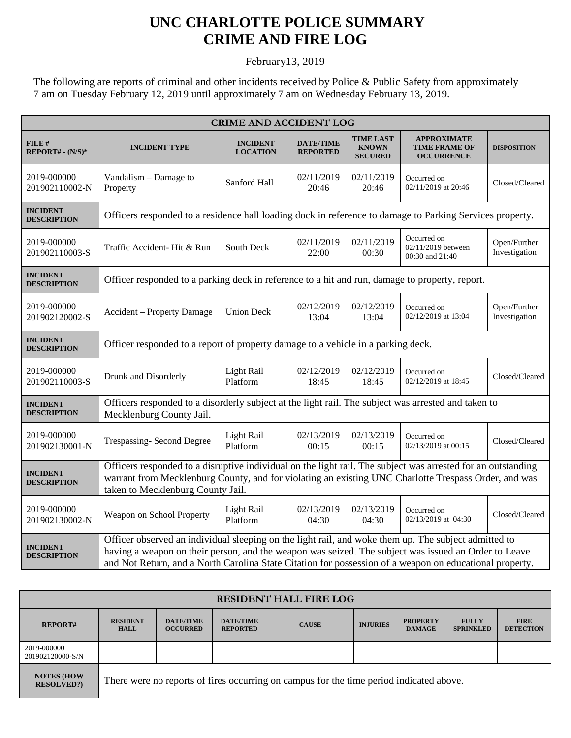## **UNC CHARLOTTE POLICE SUMMARY CRIME AND FIRE LOG**

February13, 2019

The following are reports of criminal and other incidents received by Police & Public Safety from approximately 7 am on Tuesday February 12, 2019 until approximately 7 am on Wednesday February 13, 2019.

| <b>CRIME AND ACCIDENT LOG</b>         |                                                                                                                                                                                                                                                                                                                         |                                    |                                     |                                                    |                                                                 |                               |  |
|---------------------------------------|-------------------------------------------------------------------------------------------------------------------------------------------------------------------------------------------------------------------------------------------------------------------------------------------------------------------------|------------------------------------|-------------------------------------|----------------------------------------------------|-----------------------------------------------------------------|-------------------------------|--|
| FILE#<br>$REPORT# - (N/S)*$           | <b>INCIDENT TYPE</b>                                                                                                                                                                                                                                                                                                    | <b>INCIDENT</b><br><b>LOCATION</b> | <b>DATE/TIME</b><br><b>REPORTED</b> | <b>TIME LAST</b><br><b>KNOWN</b><br><b>SECURED</b> | <b>APPROXIMATE</b><br><b>TIME FRAME OF</b><br><b>OCCURRENCE</b> | <b>DISPOSITION</b>            |  |
| 2019-000000<br>201902110002-N         | Vandalism – Damage to<br>Property                                                                                                                                                                                                                                                                                       | Sanford Hall                       | 02/11/2019<br>20:46                 | 02/11/2019<br>20:46                                | Occurred on<br>02/11/2019 at 20:46                              | Closed/Cleared                |  |
| <b>INCIDENT</b><br><b>DESCRIPTION</b> | Officers responded to a residence hall loading dock in reference to damage to Parking Services property.                                                                                                                                                                                                                |                                    |                                     |                                                    |                                                                 |                               |  |
| 2019-000000<br>201902110003-S         | Traffic Accident- Hit & Run                                                                                                                                                                                                                                                                                             | South Deck                         | 02/11/2019<br>22:00                 | 02/11/2019<br>00:30                                | Occurred on<br>02/11/2019 between<br>00:30 and 21:40            | Open/Further<br>Investigation |  |
| <b>INCIDENT</b><br><b>DESCRIPTION</b> | Officer responded to a parking deck in reference to a hit and run, damage to property, report.                                                                                                                                                                                                                          |                                    |                                     |                                                    |                                                                 |                               |  |
| 2019-000000<br>201902120002-S         | Accident - Property Damage                                                                                                                                                                                                                                                                                              | <b>Union Deck</b>                  | 02/12/2019<br>13:04                 | 02/12/2019<br>13:04                                | Occurred on<br>02/12/2019 at 13:04                              | Open/Further<br>Investigation |  |
| <b>INCIDENT</b><br><b>DESCRIPTION</b> | Officer responded to a report of property damage to a vehicle in a parking deck.                                                                                                                                                                                                                                        |                                    |                                     |                                                    |                                                                 |                               |  |
| 2019-000000<br>201902110003-S         | Drunk and Disorderly                                                                                                                                                                                                                                                                                                    | Light Rail<br>Platform             | 02/12/2019<br>18:45                 | 02/12/2019<br>18:45                                | Occurred on<br>02/12/2019 at 18:45                              | Closed/Cleared                |  |
| <b>INCIDENT</b><br><b>DESCRIPTION</b> | Officers responded to a disorderly subject at the light rail. The subject was arrested and taken to<br>Mecklenburg County Jail.                                                                                                                                                                                         |                                    |                                     |                                                    |                                                                 |                               |  |
| 2019-000000<br>201902130001-N         | <b>Trespassing-Second Degree</b>                                                                                                                                                                                                                                                                                        | Light Rail<br>Platform             | 02/13/2019<br>00:15                 | 02/13/2019<br>00:15                                | Occurred on<br>02/13/2019 at 00:15                              | Closed/Cleared                |  |
| <b>INCIDENT</b><br><b>DESCRIPTION</b> | Officers responded to a disruptive individual on the light rail. The subject was arrested for an outstanding<br>warrant from Mecklenburg County, and for violating an existing UNC Charlotte Trespass Order, and was<br>taken to Mecklenburg County Jail.                                                               |                                    |                                     |                                                    |                                                                 |                               |  |
| 2019-000000<br>201902130002-N         | Weapon on School Property                                                                                                                                                                                                                                                                                               | Light Rail<br>Platform             | 02/13/2019<br>04:30                 | 02/13/2019<br>04:30                                | Occurred on<br>02/13/2019 at 04:30                              | Closed/Cleared                |  |
| <b>INCIDENT</b><br><b>DESCRIPTION</b> | Officer observed an individual sleeping on the light rail, and woke them up. The subject admitted to<br>having a weapon on their person, and the weapon was seized. The subject was issued an Order to Leave<br>and Not Return, and a North Carolina State Citation for possession of a weapon on educational property. |                                    |                                     |                                                    |                                                                 |                               |  |

| <b>RESIDENT HALL FIRE LOG</b>           |                                                                                         |                                     |                                     |              |                 |                                  |                                  |                                 |
|-----------------------------------------|-----------------------------------------------------------------------------------------|-------------------------------------|-------------------------------------|--------------|-----------------|----------------------------------|----------------------------------|---------------------------------|
| <b>REPORT#</b>                          | <b>RESIDENT</b><br><b>HALL</b>                                                          | <b>DATE/TIME</b><br><b>OCCURRED</b> | <b>DATE/TIME</b><br><b>REPORTED</b> | <b>CAUSE</b> | <b>INJURIES</b> | <b>PROPERTY</b><br><b>DAMAGE</b> | <b>FULLY</b><br><b>SPRINKLED</b> | <b>FIRE</b><br><b>DETECTION</b> |
| 2019-000000<br>201902120000-S/N         |                                                                                         |                                     |                                     |              |                 |                                  |                                  |                                 |
| <b>NOTES (HOW)</b><br><b>RESOLVED?)</b> | There were no reports of fires occurring on campus for the time period indicated above. |                                     |                                     |              |                 |                                  |                                  |                                 |